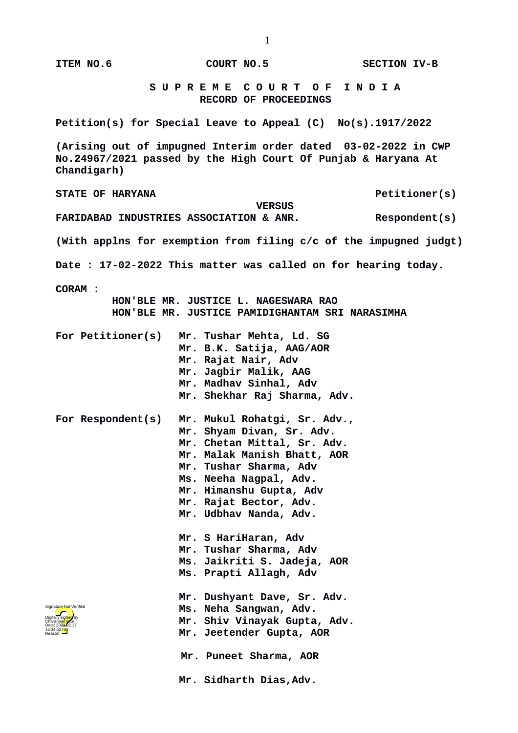| ITEM NO.6                                                                                                                                      | COURT NO.5          |                                                                                                                                                                                                                                                                                                                                                                       | <b>SECTION IV-B</b>                                               |  |
|------------------------------------------------------------------------------------------------------------------------------------------------|---------------------|-----------------------------------------------------------------------------------------------------------------------------------------------------------------------------------------------------------------------------------------------------------------------------------------------------------------------------------------------------------------------|-------------------------------------------------------------------|--|
|                                                                                                                                                |                     | SUPREME COURT OF INDIA<br><b>RECORD OF PROCEEDINGS</b>                                                                                                                                                                                                                                                                                                                |                                                                   |  |
| Petition(s) for Special Leave to Appeal (C) No(s).1917/2022                                                                                    |                     |                                                                                                                                                                                                                                                                                                                                                                       |                                                                   |  |
| (Arising out of impugned Interim order dated 03-02-2022 in CWP<br>No.24967/2021 passed by the High Court Of Punjab & Haryana At<br>Chandigarh) |                     |                                                                                                                                                                                                                                                                                                                                                                       |                                                                   |  |
| <b>STATE OF HARYANA</b>                                                                                                                        |                     |                                                                                                                                                                                                                                                                                                                                                                       | Petitioner(s)                                                     |  |
| FARIDABAD INDUSTRIES ASSOCIATION & ANR.                                                                                                        |                     | <b>VERSUS</b>                                                                                                                                                                                                                                                                                                                                                         | Respondent(s)                                                     |  |
|                                                                                                                                                |                     |                                                                                                                                                                                                                                                                                                                                                                       | (With applns for exemption from filing c/c of the impugned judgt) |  |
| Date: 17-02-2022 This matter was called on for hearing today.                                                                                  |                     |                                                                                                                                                                                                                                                                                                                                                                       |                                                                   |  |
| <b>CORAM:</b><br>HON'BLE MR. JUSTICE L. NAGESWARA RAO<br>HON'BLE MR. JUSTICE PAMIDIGHANTAM SRI NARASIMHA                                       |                     |                                                                                                                                                                                                                                                                                                                                                                       |                                                                   |  |
| For Petitioner(s)                                                                                                                              | Mr. Rajat Nair, Adv | Mr. Tushar Mehta, Ld. SG<br>Mr. B.K. Satija, AAG/AOR<br>Mr. Jagbir Malik, AAG<br>Mr. Madhav Sinhal, Adv<br>Mr. Shekhar Raj Sharma, Adv.                                                                                                                                                                                                                               |                                                                   |  |
| For Respondent(s)                                                                                                                              |                     | Mr. Mukul Rohatgi, Sr. Adv.,<br>Mr. Shyam Divan, Sr. Adv.<br>Mr. Chetan Mittal, Sr. Adv.<br>Mr. Malak Manish Bhatt, AOR<br>Mr. Tushar Sharma, Adv<br>Ms. Neeha Nagpal, Adv.<br>Mr. Himanshu Gupta, Adv<br>Mr. Rajat Bector, Adv.<br>Mr. Udbhav Nanda, Adv.<br>Mr. S HariHaran, Adv<br>Mr. Tushar Sharma, Adv<br>Ms. Jaikriti S. Jadeja, AOR<br>Ms. Prapti Allagh, Adv |                                                                   |  |
| Signature Not Verified<br>Digitally signed by<br>Charanjeet kaur<br>Date: 2022-02.17<br>16:34:52 <sup>1S</sup><br>Reason:                      |                     | Mr. Dushyant Dave, Sr. Adv.<br>Ms. Neha Sangwan, Adv.<br>Mr. Shiv Vinayak Gupta, Adv.<br>Mr. Jeetender Gupta, AOR<br>Mr. Puneet Sharma, AOR                                                                                                                                                                                                                           |                                                                   |  |
|                                                                                                                                                |                     | Mr. Sidharth Dias, Adv.                                                                                                                                                                                                                                                                                                                                               |                                                                   |  |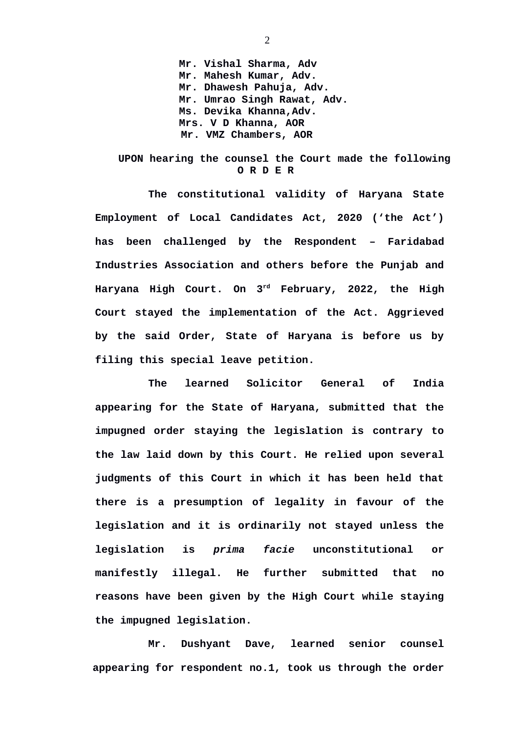**Mr. Vishal Sharma, Adv Mr. Mahesh Kumar, Adv. Mr. Dhawesh Pahuja, Adv. Mr. Umrao Singh Rawat, Adv. Ms. Devika Khanna,Adv. Mrs. V D Khanna, AOR Mr. VMZ Chambers, AOR**

## **UPON hearing the counsel the Court made the following O R D E R**

**The constitutional validity of Haryana State Employment of Local Candidates Act, 2020 ('the Act') has been challenged by the Respondent – Faridabad Industries Association and others before the Punjab and Haryana High Court. On 3rd February, 2022, the High Court stayed the implementation of the Act. Aggrieved by the said Order, State of Haryana is before us by filing this special leave petition.** 

**The learned Solicitor General of India appearing for the State of Haryana, submitted that the impugned order staying the legislation is contrary to the law laid down by this Court. He relied upon several judgments of this Court in which it has been held that there is a presumption of legality in favour of the legislation and it is ordinarily not stayed unless the legislation is** *prima facie* **unconstitutional or manifestly illegal. He further submitted that no reasons have been given by the High Court while staying the impugned legislation.**

**Mr. Dushyant Dave, learned senior counsel appearing for respondent no.1, took us through the order**

2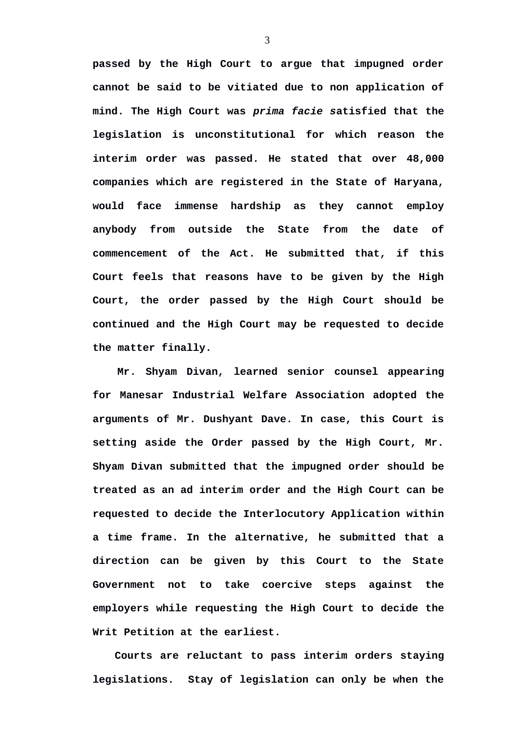**passed by the High Court to argue that impugned order cannot be said to be vitiated due to non application of mind. The High Court was** *prima facie s***atisfied that the legislation is unconstitutional for which reason the interim order was passed. He stated that over 48,000 companies which are registered in the State of Haryana, would face immense hardship as they cannot employ anybody from outside the State from the date of commencement of the Act. He submitted that, if this Court feels that reasons have to be given by the High Court, the order passed by the High Court should be continued and the High Court may be requested to decide the matter finally.**

**Mr. Shyam Divan, learned senior counsel appearing for Manesar Industrial Welfare Association adopted the arguments of Mr. Dushyant Dave. In case, this Court is setting aside the Order passed by the High Court, Mr. Shyam Divan submitted that the impugned order should be treated as an ad interim order and the High Court can be requested to decide the Interlocutory Application within a time frame. In the alternative, he submitted that a direction can be given by this Court to the State Government not to take coercive steps against the employers while requesting the High Court to decide the Writ Petition at the earliest.**

**Courts are reluctant to pass interim orders staying legislations. Stay of legislation can only be when the**

3